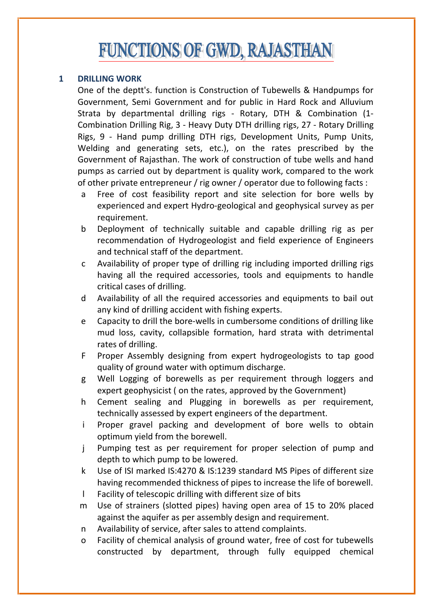# **FUNCTIONS OF GWD, RAJASTHAN**

## **1 DRILLING WORK**

One of the deptt's. function is Construction of Tubewells & Handpumps for Government, Semi Government and for public in Hard Rock and Alluvium Strata by departmental drilling rigs - Rotary, DTH & Combination (1-Combination Drilling Rig, 3 - Heavy Duty DTH drilling rigs, 27 - Rotary Drilling Rigs, 9 - Hand pump drilling DTH rigs, Development Units, Pump Units, Welding and generating sets, etc.), on the rates prescribed by the Government of Rajasthan. The work of construction of tube wells and hand pumps as carried out by department is quality work, compared to the work of other private entrepreneur / rig owner / operator due to following facts :

- a Free of cost feasibility report and site selection for bore wells by experienced and expert Hydro-geological and geophysical survey as per requirement.
- b Deployment of technically suitable and capable drilling rig as per recommendation of Hydrogeologist and field experience of Engineers and technical staff of the department.
- c Availability of proper type of drilling rig including imported drilling rigs having all the required accessories, tools and equipments to handle critical cases of drilling.
- d Availability of all the required accessories and equipments to bail out any kind of drilling accident with fishing experts.
- e Capacity to drill the bore-wells in cumbersome conditions of drilling like mud loss, cavity, collapsible formation, hard strata with detrimental rates of drilling.
- F Proper Assembly designing from expert hydrogeologists to tap good quality of ground water with optimum discharge.
- g Well Logging of borewells as per requirement through loggers and expert geophysicist ( on the rates, approved by the Government)
- h Cement sealing and Plugging in borewells as per requirement, technically assessed by expert engineers of the department.
- i Proper gravel packing and development of bore wells to obtain optimum yield from the borewell.
- j Pumping test as per requirement for proper selection of pump and depth to which pump to be lowered.
- k Use of ISI marked IS:4270 & IS:1239 standard MS Pipes of different size having recommended thickness of pipes to increase the life of borewell.
- l Facility of telescopic drilling with different size of bits
- m Use of strainers (slotted pipes) having open area of 15 to 20% placed against the aquifer as per assembly design and requirement.
- n Availability of service, after sales to attend complaints.
- o Facility of chemical analysis of ground water, free of cost for tubewells constructed by department, through fully equipped chemical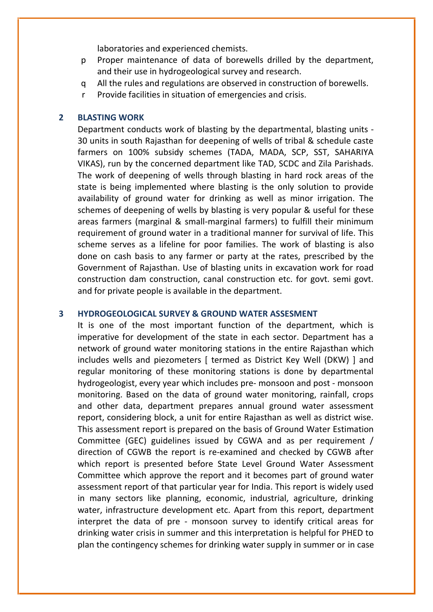laboratories and experienced chemists.

- p Proper maintenance of data of borewells drilled by the department, and their use in hydrogeological survey and research.
- q All the rules and regulations are observed in construction of borewells.
- r Provide facilities in situation of emergencies and crisis.

#### **2 BLASTING WORK**

Department conducts work of blasting by the departmental, blasting units 30 units in south Rajasthan for deepening of wells of tribal & schedule caste farmers on 100% subsidy schemes (TADA, MADA, SCP, SST, SAHARIYA VIKAS), run by the concerned department like TAD, SCDC and Zila Parishads. The work of deepening of wells through blasting in hard rock areas of the state is being implemented where blasting is the only solution to provide availability of ground water for drinking as well as minor irrigation. The schemes of deepening of wells by blasting is very popular & useful for these areas farmers (marginal & small-marginal farmers) to fulfill their minimum requirement of ground water in a traditional manner for survival of life. This scheme serves as a lifeline for poor families. The work of blasting is also done on cash basis to any farmer or party at the rates, prescribed by the Government of Rajasthan. Use of blasting units in excavation work for road construction dam construction, canal construction etc. for govt. semi govt. and for private people is available in the department.

#### **3 HYDROGEOLOGICAL SURVEY & GROUND WATER ASSESMENT**

It is one of the most important function of the department, which is imperative for development of the state in each sector. Department has a network of ground water monitoring stations in the entire Rajasthan which includes wells and piezometers [ termed as District Key Well (DKW) ] and regular monitoring of these monitoring stations is done by departmental hydrogeologist, every year which includes pre- monsoon and post - monsoon monitoring. Based on the data of ground water monitoring, rainfall, crops and other data, department prepares annual ground water assessment report, considering block, a unit for entire Rajasthan as well as district wise. This assessment report is prepared on the basis of Ground Water Estimation Committee (GEC) guidelines issued by CGWA and as per requirement / direction of CGWB the report is re-examined and checked by CGWB after which report is presented before State Level Ground Water Assessment Committee which approve the report and it becomes part of ground water assessment report of that particular year for India. This report is widely used in many sectors like planning, economic, industrial, agriculture, drinking water, infrastructure development etc. Apart from this report, department interpret the data of pre - monsoon survey to identify critical areas for drinking water crisis in summer and this interpretation is helpful for PHED to plan the contingency schemes for drinking water supply in summer or in case